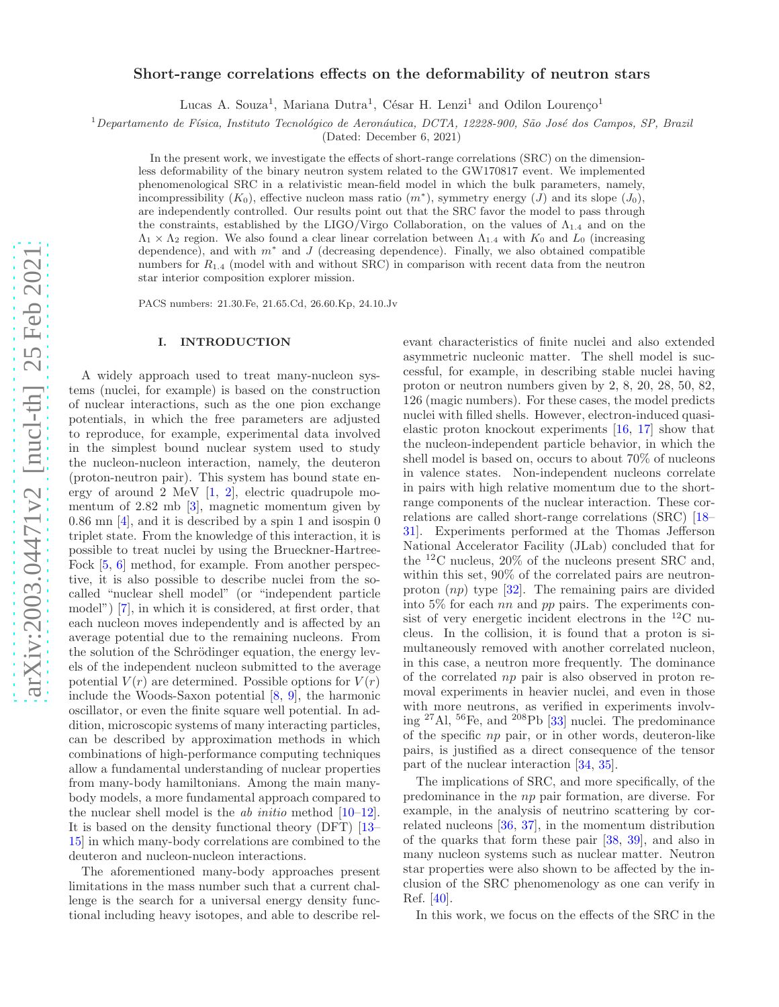# Short-range correlations effects on the deformability of neutron stars

Lucas A. Souza<sup>1</sup>, Mariana Dutra<sup>1</sup>, César H. Lenzi<sup>1</sup> and Odilon Lourenço<sup>1</sup>

 $1$ Departamento de Física, Instituto Tecnológico de Aeronáutica, DCTA, 12228-900, São José dos Campos, SP, Brazil

(Dated: December 6, 2021)

In the present work, we investigate the effects of short-range correlations (SRC) on the dimensionless deformability of the binary neutron system related to the GW170817 event. We implemented phenomenological SRC in a relativistic mean-field model in which the bulk parameters, namely, incompressibility  $(K_0)$ , effective nucleon mass ratio  $(m^*)$ , symmetry energy  $(J)$  and its slope  $(J_0)$ , are independently controlled. Our results point out that the SRC favor the model to pass through the constraints, established by the LIGO/Virgo Collaboration, on the values of  $\Lambda_{1,4}$  and on the  $\Lambda_1 \times \Lambda_2$  region. We also found a clear linear correlation between  $\Lambda_{1,4}$  with  $K_0$  and  $L_0$  (increasing dependence), and with  $m^*$  and J (decreasing dependence). Finally, we also obtained compatible numbers for  $R_{1,4}$  (model with and without SRC) in comparison with recent data from the neutron star interior composition explorer mission.

PACS numbers: 21.30.Fe, 21.65.Cd, 26.60.Kp, 24.10.Jv

### I. INTRODUCTION

A widely approach used to treat many-nucleon systems (nuclei, for example) is based on the construction of nuclear interactions, such as the one pion exchange potentials, in which the free parameters are adjusted to reproduce, for example, experimental data involved in the simplest bound nuclear system used to study the nucleon-nucleon interaction, namely, the deuteron (proton-neutron pair). This system has bound state en-ergy of around [2](#page-6-1) MeV  $[1, 2]$ , electric quadrupole momentum of 2.82 mb [\[3](#page-7-0)], magnetic momentum given by 0.86 mn [\[4\]](#page-7-1), and it is described by a spin 1 and isospin 0 triplet state. From the knowledge of this interaction, it is possible to treat nuclei by using the Brueckner-Hartree-Fock [\[5,](#page-7-2) [6\]](#page-7-3) method, for example. From another perspective, it is also possible to describe nuclei from the socalled "nuclear shell model" (or "independent particle model") [\[7](#page-7-4)], in which it is considered, at first order, that each nucleon moves independently and is affected by an average potential due to the remaining nucleons. From the solution of the Schrödinger equation, the energy levels of the independent nucleon submitted to the average potential  $V(r)$  are determined. Possible options for  $V(r)$ include the Woods-Saxon potential [\[8,](#page-7-5) [9](#page-7-6)], the harmonic oscillator, or even the finite square well potential. In addition, microscopic systems of many interacting particles, can be described by approximation methods in which combinations of high-performance computing techniques allow a fundamental understanding of nuclear properties from many-body hamiltonians. Among the main manybody models, a more fundamental approach compared to the nuclear shell model is the ab initio method [\[10](#page-7-7)[–12\]](#page-7-8). It is based on the density functional theory (DFT) [\[13](#page-7-9)– [15\]](#page-7-10) in which many-body correlations are combined to the deuteron and nucleon-nucleon interactions.

The aforementioned many-body approaches present limitations in the mass number such that a current challenge is the search for a universal energy density functional including heavy isotopes, and able to describe rel-

evant characteristics of finite nuclei and also extended asymmetric nucleonic matter. The shell model is successful, for example, in describing stable nuclei having proton or neutron numbers given by 2, 8, 20, 28, 50, 82, 126 (magic numbers). For these cases, the model predicts nuclei with filled shells. However, electron-induced quasielastic proton knockout experiments [\[16,](#page-7-11) [17](#page-7-12)] show that the nucleon-independent particle behavior, in which the shell model is based on, occurs to about 70% of nucleons in valence states. Non-independent nucleons correlate in pairs with high relative momentum due to the shortrange components of the nuclear interaction. These correlations are called short-range correlations (SRC) [\[18](#page-7-13)– [31](#page-7-14)]. Experiments performed at the Thomas Jefferson National Accelerator Facility (JLab) concluded that for the <sup>12</sup>C nucleus, 20% of the nucleons present SRC and, within this set, 90% of the correlated pairs are neutronproton  $(np)$  type  $[32]$ . The remaining pairs are divided into 5% for each  $nn$  and  $pp$  pairs. The experiments consist of very energetic incident electrons in the  $^{12}$ C nucleus. In the collision, it is found that a proton is simultaneously removed with another correlated nucleon, in this case, a neutron more frequently. The dominance of the correlated np pair is also observed in proton removal experiments in heavier nuclei, and even in those with more neutrons, as verified in experiments involving <sup>27</sup>Al, <sup>56</sup>Fe, and <sup>208</sup>Pb [\[33\]](#page-7-16) nuclei. The predominance of the specific np pair, or in other words, deuteron-like pairs, is justified as a direct consequence of the tensor part of the nuclear interaction [\[34,](#page-7-17) [35\]](#page-7-18).

The implications of SRC, and more specifically, of the predominance in the np pair formation, are diverse. For example, in the analysis of neutrino scattering by correlated nucleons [\[36,](#page-7-19) [37](#page-7-20)], in the momentum distribution of the quarks that form these pair [\[38,](#page-7-21) [39](#page-7-22)], and also in many nucleon systems such as nuclear matter. Neutron star properties were also shown to be affected by the inclusion of the SRC phenomenology as one can verify in Ref. [\[40\]](#page-7-23).

In this work, we focus on the effects of the SRC in the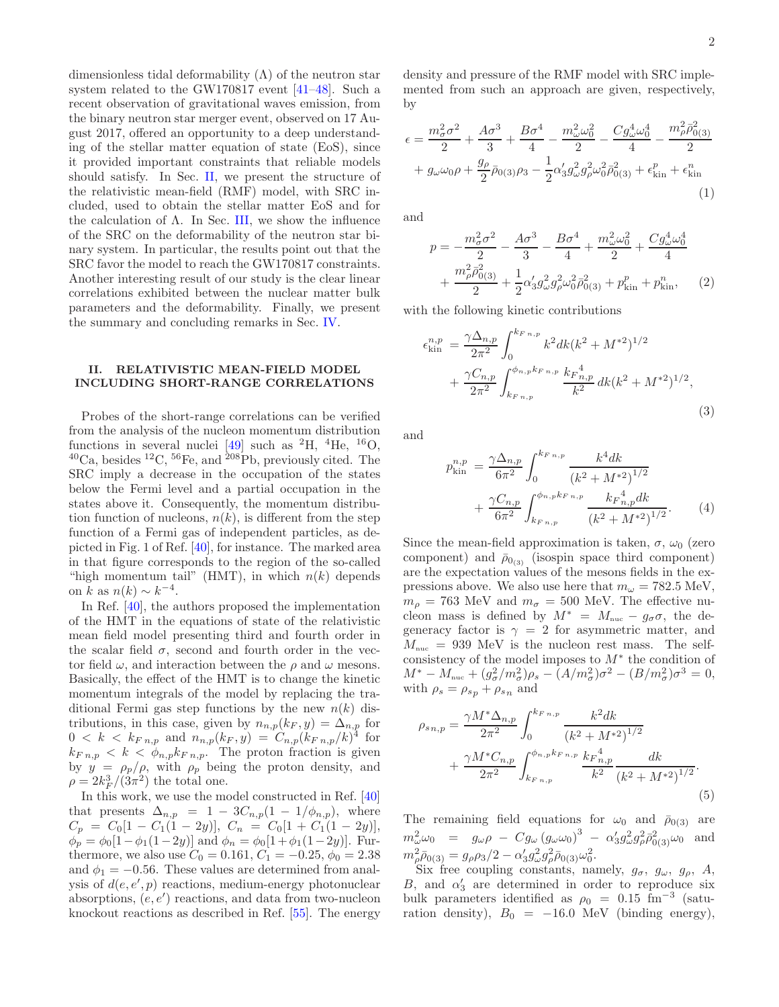dimensionless tidal deformability  $(\Lambda)$  of the neutron star system related to the GW170817 event [\[41](#page-7-24)[–48](#page-7-25)]. Such a recent observation of gravitational waves emission, from the binary neutron star merger event, observed on 17 August 2017, offered an opportunity to a deep understanding of the stellar matter equation of state (EoS), since it provided important constraints that reliable models should satisfy. In Sec. [II,](#page-1-0) we present the structure of the relativistic mean-field (RMF) model, with SRC included, used to obtain the stellar matter EoS and for the calculation of  $\Lambda$ . In Sec. [III,](#page-2-0) we show the influence of the SRC on the deformability of the neutron star binary system. In particular, the results point out that the SRC favor the model to reach the GW170817 constraints. Another interesting result of our study is the clear linear correlations exhibited between the nuclear matter bulk parameters and the deformability. Finally, we present the summary and concluding remarks in Sec. [IV.](#page-6-2)

# <span id="page-1-0"></span>II. RELATIVISTIC MEAN-FIELD MODEL INCLUDING SHORT-RANGE CORRELATIONS

Probes of the short-range correlations can be verified from the analysis of the nucleon momentum distribution functions in several nuclei [\[49](#page-7-26)] such as  ${}^{2}H$ ,  ${}^{4}He$ ,  ${}^{16}O$ ,  ${}^{40}Ca$ , besides  ${}^{12}C$ ,  ${}^{56}Fe$ , and  ${}^{208}Pb$ , previously cited. The SRC imply a decrease in the occupation of the states below the Fermi level and a partial occupation in the states above it. Consequently, the momentum distribution function of nucleons,  $n(k)$ , is different from the step function of a Fermi gas of independent particles, as depicted in Fig. 1 of Ref. [\[40\]](#page-7-23), for instance. The marked area in that figure corresponds to the region of the so-called "high momentum tail" (HMT), in which  $n(k)$  depends on  $\tilde{k}$  as  $n(k) \sim k^{-4}$ .

In Ref. [\[40\]](#page-7-23), the authors proposed the implementation of the HMT in the equations of state of the relativistic mean field model presenting third and fourth order in the scalar field  $\sigma$ , second and fourth order in the vector field  $\omega$ , and interaction between the  $\rho$  and  $\omega$  mesons. Basically, the effect of the HMT is to change the kinetic momentum integrals of the model by replacing the traditional Fermi gas step functions by the new  $n(k)$  distributions, in this case, given by  $n_{n,p}(k_F, y) = \Delta_{n,p}$  for  $0 \leq k \leq k_{F,n,p}$  and  $n_{n,p}(k_F, y) = C_{n,p}(k_{F,n,p}/k)^{4}$  for  $k_{F n,p} < k < \phi_{n,p} k_{F n,p}.$  The proton fraction is given by  $y = \rho_p/\rho$ , with  $\rho_p$  being the proton density, and  $\rho = 2k_F^3/(3\pi^2)$  the total one.

In this work, we use the model constructed in Ref. [\[40](#page-7-23)] that presents  $\Delta_{n,p} = 1 - 3C_{n,p}(1 - 1/\phi_{n,p}),$  where  $C_p = C_0[1 - C_1(1 - 2y)], C_n = C_0[1 + C_1(1 - 2y)],$  $\phi_p = \phi_0[1-\phi_1(1-2y)]$  and  $\phi_n = \phi_0[1+\phi_1(1-2y)]$ . Furthermore, we also use  $C_0 = 0.161, C_1 = -0.25, \phi_0 = 2.38$ and  $\phi_1 = -0.56$ . These values are determined from analysis of  $d(e, e', p)$  reactions, medium-energy photonuclear absorptions,  $(e, e')$  reactions, and data from two-nucleon knockout reactions as described in Ref. [\[55](#page-7-27)]. The energy density and pressure of the RMF model with SRC implemented from such an approach are given, respectively, by

<span id="page-1-4"></span>
$$
\epsilon = \frac{m_{\sigma}^{2}\sigma^{2}}{2} + \frac{A\sigma^{3}}{3} + \frac{B\sigma^{4}}{4} - \frac{m_{\omega}^{2}\omega_{0}^{2}}{2} - \frac{Cg_{\omega}^{4}\omega_{0}^{4}}{4} - \frac{m_{\rho}^{2}\bar{\rho}_{0(3)}^{2}}{2} + g_{\omega}\omega_{0}\rho + \frac{g_{\rho}}{2}\bar{\rho}_{0(3)}\rho_{3} - \frac{1}{2}\alpha_{3}'g_{\omega}^{2}g_{\rho}^{2}\omega_{0}^{2}\bar{\rho}_{0(3)}^{2} + \epsilon_{\text{kin}}^{p} + \epsilon_{\text{kin}}^{n}
$$
\n(1)

and

<span id="page-1-5"></span>
$$
p = -\frac{m_{\sigma}^2 \sigma^2}{2} - \frac{A \sigma^3}{3} - \frac{B \sigma^4}{4} + \frac{m_{\omega}^2 \omega_0^2}{2} + \frac{C g_{\omega}^4 \omega_0^4}{4} + \frac{m_{\rho}^2 \bar{\rho}_{0(3)}^2}{2} + \frac{1}{2} \alpha_3' g_{\omega}^2 g_{\rho}^2 \omega_0^2 \bar{\rho}_{0(3)}^2 + p_{\text{kin}}^p + p_{\text{kin}}^n, \qquad (2)
$$

with the following kinetic contributions

<span id="page-1-1"></span>
$$
\epsilon_{\rm kin}^{n,p} = \frac{\gamma \Delta_{n,p}}{2\pi^2} \int_0^{k_{F\,n,p}} k^2 dk (k^2 + M^{*2})^{1/2} + \frac{\gamma C_{n,p}}{2\pi^2} \int_{k_{F\,n,p}}^{\phi_{n,p}k_{F\,n,p}} \frac{k_{F\,n,p}^4}{k^2} dk (k^2 + M^{*2})^{1/2},
$$
\n(3)

and

<span id="page-1-2"></span>
$$
p_{\text{kin}}^{n,p} = \frac{\gamma \Delta_{n,p}}{6\pi^2} \int_0^{k_{F\,n,p}} \frac{k^4 dk}{\left(k^2 + M^{*2}\right)^{1/2}} + \frac{\gamma C_{n,p}}{6\pi^2} \int_{k_{F\,n,p}}^{\phi_{n,p}k_{F\,n,p}} \frac{k_F_{n,p}^4 dk}{\left(k^2 + M^{*2}\right)^{1/2}}.
$$
 (4)

Since the mean-field approximation is taken,  $\sigma$ ,  $\omega_0$  (zero component) and  $\bar{\rho}_{0_{(3)}}$  (isospin space third component) are the expectation values of the mesons fields in the expressions above. We also use here that  $m_{\omega} = 782.5 \text{ MeV}$ ,  $m_{\rho}$  = 763 MeV and  $m_{\sigma}$  = 500 MeV. The effective nucleon mass is defined by  $M^* = M_{\text{nuc}} - g_{\sigma} \sigma$ , the degeneracy factor is  $\gamma = 2$  for asymmetric matter, and  $M_{\text{nuc}} = 939 \text{ MeV}$  is the nucleon rest mass. The selfconsistency of the model imposes to  $M^*$  the condition of  $M^* - M_{\text{nuc}} + (g_{\sigma}^2/m_{\sigma}^2)\rho_s - (A/m_{\sigma}^2)\sigma^2 - (B/m_{\sigma}^2)\sigma^3 = 0,$ with  $\rho_s = \rho_{s_p} + \rho_{s_n}$  and

<span id="page-1-3"></span>
$$
\rho_{s_{n,p}} = \frac{\gamma M^* \Delta_{n,p}}{2\pi^2} \int_0^{k_{F_{n,p}}} \frac{k^2 dk}{\left(k^2 + M^{*2}\right)^{1/2}} + \frac{\gamma M^* C_{n,p}}{2\pi^2} \int_{k_{F_{n,p}}}^{\phi_{n,p} k_{F_{n,p}}} \frac{k_{F_{n,p}}^4}{k^2} \frac{dk}{\left(k^2 + M^{*2}\right)^{1/2}}.
$$
\n(5)

The remaining field equations for  $\omega_0$  and  $\bar{p}_{0(3)}$  are  $m_{\omega}^{2}\omega_{0} = g_{\omega}\rho - Cg_{\omega}(g_{\omega}\omega_{0})^{3} - \alpha'_{3}g_{\omega}^{2}g_{\rho}^{2}\bar{\rho}_{0(3)}^{2}\omega_{0}$  and  $m_{\rho}^2 \bar{\rho}_{0(3)} = g_{\rho} \rho_3 / 2 - \alpha_3' g_{\omega}^2 g_{\rho}^2 \bar{\rho}_{0(3)} \omega_0^2.$ 

Six free coupling constants, namely,  $g_{\sigma}$ ,  $g_{\omega}$ ,  $g_{\rho}$ ,  $A$ ,  $B$ , and  $\alpha'_{3}$  are determined in order to reproduce six bulk parameters identified as  $\rho_0 = 0.15$  fm<sup>-3</sup> (saturation density),  $B_0 = -16.0$  MeV (binding energy),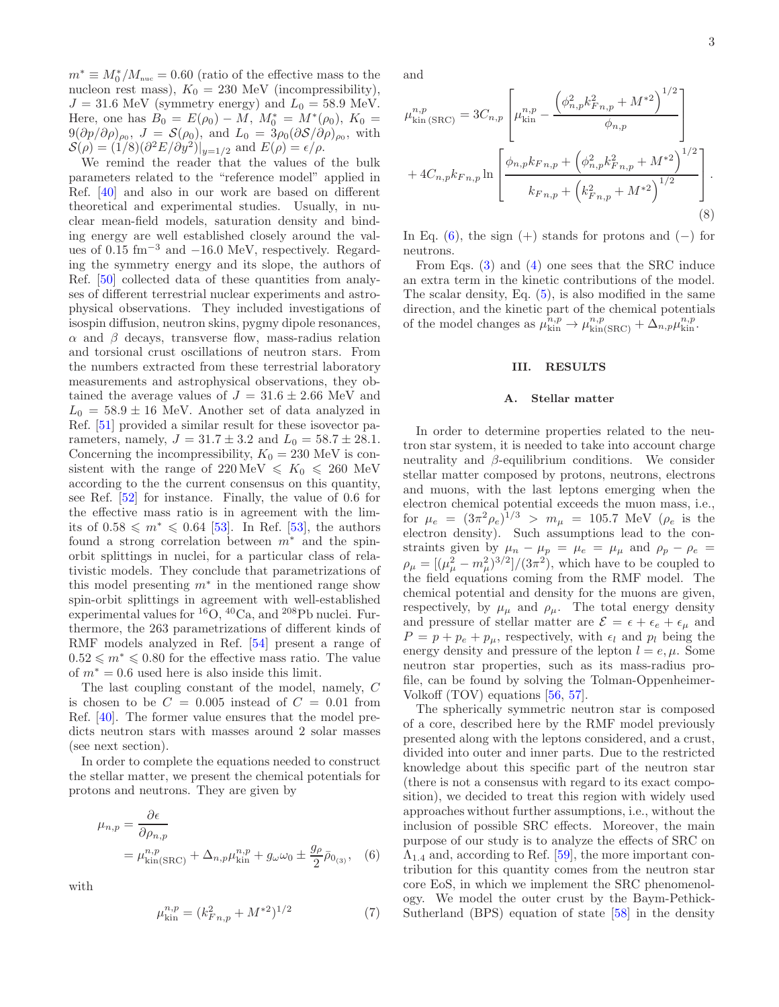$m^* \equiv M_0^* / M_{\text{nuc}} = 0.60$  (ratio of the effective mass to the nucleon rest mass),  $K_0 = 230$  MeV (incompressibility),  $J = 31.6$  MeV (symmetry energy) and  $L_0 = 58.9$  MeV. Here, one has  $B_0 = E(\rho_0) - \tilde{M}, M_0^* = M^*(\rho_0), K_0 =$  $9(\partial p/\partial \rho)_{\rho_0}, J = \mathcal{S}(\rho_0)$ , and  $L_0 = 3\rho_0(\partial \mathcal{S}/\partial \rho)_{\rho_0}$ , with  $\mathcal{S}(\rho) = (1/8)(\partial^2 E/\partial y^2)|_{y=1/2}$  and  $E(\rho) = \epsilon/\rho$ .

We remind the reader that the values of the bulk parameters related to the "reference model" applied in Ref. [\[40\]](#page-7-23) and also in our work are based on different theoretical and experimental studies. Usually, in nuclear mean-field models, saturation density and binding energy are well established closely around the values of 0.15 fm−<sup>3</sup> and −16.0 MeV, respectively. Regarding the symmetry energy and its slope, the authors of Ref. [\[50\]](#page-7-28) collected data of these quantities from analyses of different terrestrial nuclear experiments and astrophysical observations. They included investigations of isospin diffusion, neutron skins, pygmy dipole resonances,  $\alpha$  and  $\beta$  decays, transverse flow, mass-radius relation and torsional crust oscillations of neutron stars. From the numbers extracted from these terrestrial laboratory measurements and astrophysical observations, they obtained the average values of  $J = 31.6 \pm 2.66$  MeV and  $L_0 = 58.9 \pm 16$  MeV. Another set of data analyzed in Ref. [\[51\]](#page-7-29) provided a similar result for these isovector parameters, namely,  $J = 31.7 \pm 3.2$  and  $L_0 = 58.7 \pm 28.1$ . Concerning the incompressibility,  $K_0 = 230$  MeV is consistent with the range of  $220 \text{ MeV} \le K_0 \le 260 \text{ MeV}$ according to the the current consensus on this quantity, see Ref. [\[52\]](#page-7-30) for instance. Finally, the value of 0.6 for the effective mass ratio is in agreement with the limits of 0.58 ≤  $m^*$  ≤ 0.64 [\[53\]](#page-7-31). In Ref. [53], the authors found a strong correlation between  $m^*$  and the spinorbit splittings in nuclei, for a particular class of relativistic models. They conclude that parametrizations of this model presenting  $m^*$  in the mentioned range show spin-orbit splittings in agreement with well-established experimental values for  ${}^{16}O$ ,  ${}^{40}Ca$ , and  ${}^{208}Pb$  nuclei. Furthermore, the 263 parametrizations of different kinds of RMF models analyzed in Ref. [\[54](#page-7-32)] present a range of  $0.52 \leq m^* \leq 0.80$  for the effective mass ratio. The value of  $m^* = 0.6$  used here is also inside this limit.

The last coupling constant of the model, namely, C is chosen to be  $C = 0.005$  instead of  $C = 0.01$  from Ref. [\[40\]](#page-7-23). The former value ensures that the model predicts neutron stars with masses around 2 solar masses (see next section).

In order to complete the equations needed to construct the stellar matter, we present the chemical potentials for protons and neutrons. They are given by

<span id="page-2-1"></span>
$$
\mu_{n,p} = \frac{\partial \epsilon}{\partial \rho_{n,p}} \n= \mu_{\text{kin(SRC)}}^{n,p} + \Delta_{n,p} \mu_{\text{kin}}^{n,p} + g_{\omega} \omega_0 \pm \frac{g_{\rho}}{2} \bar{\rho}_{0_{(3)}},
$$
\n(6)

with

$$
\mu_{\text{kin}}^{n,p} = (k_{Fn,p}^2 + M^{*2})^{1/2} \tag{7}
$$

and

$$
\mu_{\text{kin (SRC)}}^{n,p} = 3C_{n,p} \left[ \mu_{\text{kin}}^{n,p} - \frac{\left(\phi_{n,p}^2 k_{Fn,p}^2 + M^{*2}\right)^{1/2}}{\phi_{n,p}} \right] + 4C_{n,p}k_{Fn,p} \ln \left[ \frac{\phi_{n,p}k_{Fn,p} + \left(\phi_{n,p}^2 k_{Fn,p}^2 + M^{*2}\right)^{1/2}}{k_{Fn,p} + \left(k_{Fn,p}^2 + M^{*2}\right)^{1/2}} \right].
$$
\n(8)

In Eq. [\(6\)](#page-2-1), the sign (+) stands for protons and (−) for neutrons.

From Eqs. [\(3\)](#page-1-1) and [\(4\)](#page-1-2) one sees that the SRC induce an extra term in the kinetic contributions of the model. The scalar density, Eq.  $(5)$ , is also modified in the same direction, and the kinetic part of the chemical potentials of the model changes as  $\mu_{\rm kin}^{n,p} \to \mu_{\rm kin(SRC)}^{n,p} + \Delta_{n,p}^{\hat{n},p} \mu_{\rm kin}^{n,p}$ .

## <span id="page-2-0"></span>III. RESULTS

#### A. Stellar matter

In order to determine properties related to the neutron star system, it is needed to take into account charge neutrality and  $\beta$ -equilibrium conditions. We consider stellar matter composed by protons, neutrons, electrons and muons, with the last leptons emerging when the electron chemical potential exceeds the muon mass, i.e., for  $\mu_e = (3\pi^2 \rho_e)^{1/3} > m_\mu = 105.7 \text{ MeV } (\rho_e \text{ is the}$ electron density). Such assumptions lead to the constraints given by  $\mu_n - \mu_p = \mu_e = \mu_\mu$  and  $\rho_p - \rho_e =$  $\rho_{\mu} = \left[ (\mu_{\mu}^2 - m_{\mu}^2)^{3/2} \right] / (3\pi^2)$ , which have to be coupled to the field equations coming from the RMF model. The chemical potential and density for the muons are given, respectively, by  $\mu_{\mu}$  and  $\rho_{\mu}$ . The total energy density and pressure of stellar matter are  $\mathcal{E} = \epsilon + \epsilon_e + \epsilon_\mu$  and  $P = p + p_e + p_\mu$ , respectively, with  $\epsilon_l$  and  $p_l$  being the energy density and pressure of the lepton  $l = e, \mu$ . Some neutron star properties, such as its mass-radius profile, can be found by solving the Tolman-Oppenheimer-Volkoff (TOV) equations [\[56](#page-7-33), [57](#page-7-34)].

The spherically symmetric neutron star is composed of a core, described here by the RMF model previously presented along with the leptons considered, and a crust, divided into outer and inner parts. Due to the restricted knowledge about this specific part of the neutron star (there is not a consensus with regard to its exact composition), we decided to treat this region with widely used approaches without further assumptions, i.e., without the inclusion of possible SRC effects. Moreover, the main purpose of our study is to analyze the effects of SRC on  $\Lambda_{1,4}$  and, according to Ref. [\[59](#page-7-35)], the more important contribution for this quantity comes from the neutron star core EoS, in which we implement the SRC phenomenology. We model the outer crust by the Baym-Pethick-Sutherland (BPS) equation of state [\[58\]](#page-7-36) in the density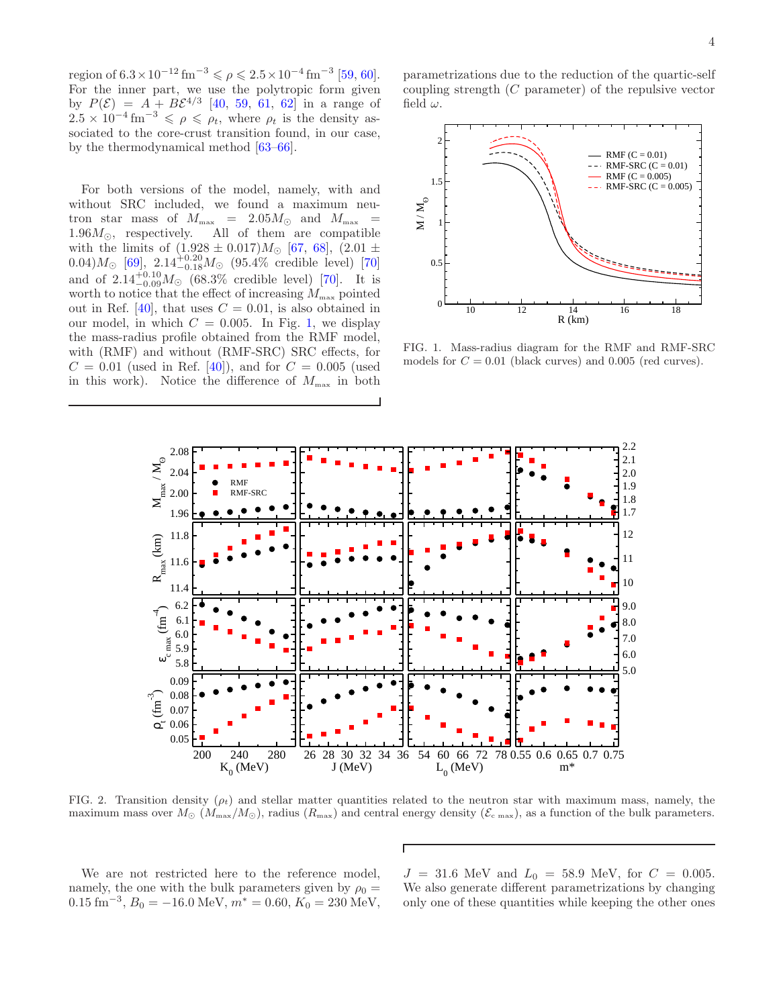region of  $6.3 \times 10^{-12}$  fm<sup>-3</sup>  $\le \rho \le 2.5 \times 10^{-4}$  fm<sup>-3</sup> [\[59](#page-7-35), [60\]](#page-7-37). For the inner part, we use the polytropic form given by  $P(\mathcal{E}) = A + B\mathcal{E}^{4/3}$  [\[40](#page-7-23), [59](#page-7-35), [61,](#page-7-38) [62\]](#page-7-39) in a range of  $2.5 \times 10^{-4}$  fm<sup>-3</sup>  $\leq \rho \leq \rho_t$ , where  $\rho_t$  is the density associated to the core-crust transition found, in our case, by the thermodynamical method [\[63](#page-7-40)[–66](#page-7-41)].

For both versions of the model, namely, with and without SRC included, we found a maximum neutron star mass of  $M_{\text{max}}$  = 2.05 $M_{\odot}$  and  $M_{\text{max}}$  = 1.96 $M_{\odot}$ , respectively. All of them are compatible with the limits of  $(1.928 \pm 0.017)M_{\odot}$  [\[67,](#page-7-42) [68](#page-7-43)],  $(2.01 \pm$  $(0.04) M_{\odot}$  [\[69\]](#page-7-44),  $2.14^{+0.20}_{-0.18} M_{\odot}$  (95.4% credible level) [\[70](#page-7-45)] and of  $2.14_{-0.09}^{+0.10} M_{\odot}$  (68.3% credible level) [\[70](#page-7-45)]. It is worth to notice that the effect of increasing  $M_{\text{max}}$  pointed out in Ref. [\[40](#page-7-23)], that uses  $C = 0.01$ , is also obtained in our model, in which  $C = 0.005$ . In Fig. [1,](#page-3-0) we display the mass-radius profile obtained from the RMF model, with (RMF) and without (RMF-SRC) SRC effects, for  $C = 0.01$  (used in Ref. [\[40\]](#page-7-23)), and for  $C = 0.005$  (used in this work). Notice the difference of  $M_{\text{max}}$  in both

parametrizations due to the reduction of the quartic-self coupling strength (C parameter) of the repulsive vector field  $\omega$ .



<span id="page-3-0"></span>FIG. 1. Mass-radius diagram for the RMF and RMF-SRC models for  $C = 0.01$  (black curves) and 0.005 (red curves).



<span id="page-3-1"></span>FIG. 2. Transition density  $(\rho_t)$  and stellar matter quantities related to the neutron star with maximum mass, namely, the maximum mass over  $M_{\odot}$  ( $M_{\rm max}/M_{\odot}$ ), radius ( $R_{\rm max}$ ) and central energy density ( $\mathcal{E}_{\rm c \, max}$ ), as a function of the bulk parameters.

Г

We are not restricted here to the reference model, namely, the one with the bulk parameters given by  $\rho_0 =$  $0.15 \text{ fm}^{-3}, B_0 = -16.0 \text{ MeV}, m^* = 0.60, K_0 = 230 \text{ MeV},$ 

 $J = 31.6$  MeV and  $L_0 = 58.9$  MeV, for  $C = 0.005$ . We also generate different parametrizations by changing only one of these quantities while keeping the other ones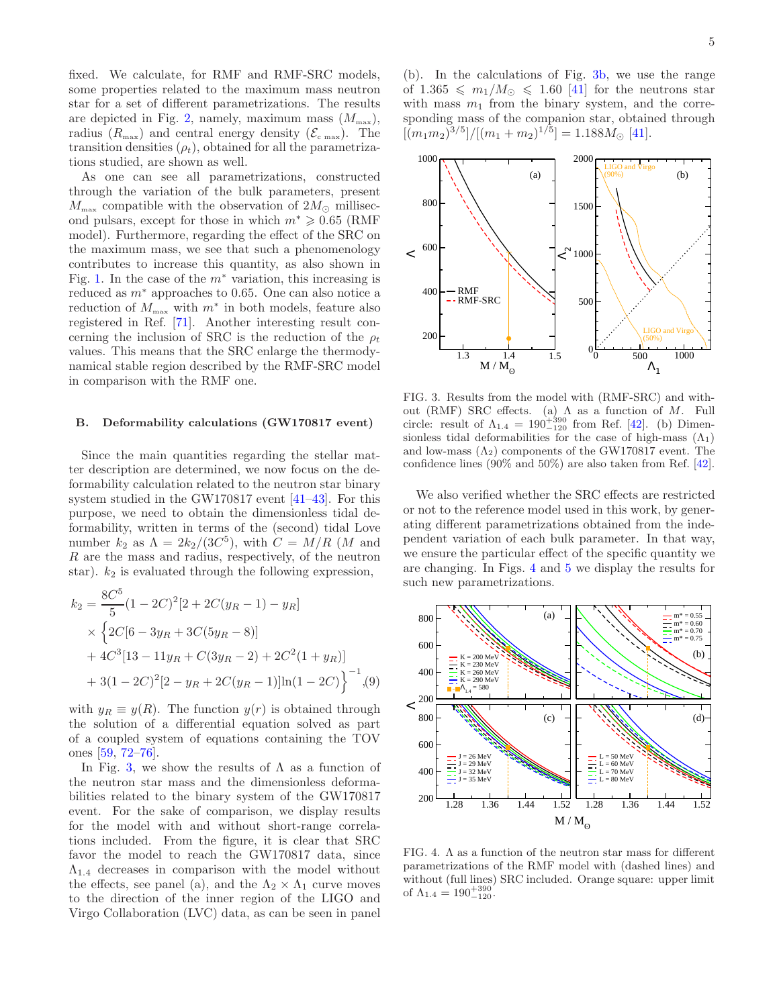fixed. We calculate, for RMF and RMF-SRC models, some properties related to the maximum mass neutron star for a set of different parametrizations. The results are depicted in Fig. [2,](#page-3-1) namely, maximum mass  $(M_{\text{max}})$ , radius  $(R_{\text{max}})$  and central energy density  $(\mathcal{E}_{\text{c max}})$ . The transition densities  $(\rho_t)$ , obtained for all the parametrizations studied, are shown as well.

As one can see all parametrizations, constructed through the variation of the bulk parameters, present  $M_{\text{max}}$  compatible with the observation of  $2M_{\odot}$  millisecond pulsars, except for those in which  $m^* \geqslant 0.65$  (RMF model). Furthermore, regarding the effect of the SRC on the maximum mass, we see that such a phenomenology contributes to increase this quantity, as also shown in Fig. [1.](#page-3-0) In the case of the  $m^*$  variation, this increasing is reduced as  $m^*$  approaches to 0.65. One can also notice a reduction of  $M_{\text{max}}$  with  $m^*$  in both models, feature also registered in Ref. [\[71](#page-7-46)]. Another interesting result concerning the inclusion of SRC is the reduction of the  $\rho_t$ values. This means that the SRC enlarge the thermodynamical stable region described by the RMF-SRC model in comparison with the RMF one.

#### B. Deformability calculations (GW170817 event)

Since the main quantities regarding the stellar matter description are determined, we now focus on the deformability calculation related to the neutron star binary system studied in the GW170817 event [\[41](#page-7-24)[–43](#page-7-47)]. For this purpose, we need to obtain the dimensionless tidal deformability, written in terms of the (second) tidal Love number  $k_2$  as  $\Lambda = 2k_2/(3C^5)$ , with  $C = M/R$  (M and R are the mass and radius, respectively, of the neutron star).  $k_2$  is evaluated through the following expression,

$$
k_2 = \frac{8C^5}{5}(1 - 2C)^2[2 + 2C(y_R - 1) - y_R]
$$
  
 
$$
\times \left\{2C[6 - 3y_R + 3C(5y_R - 8)]
$$
  
 
$$
+ 4C^3[13 - 11y_R + C(3y_R - 2) + 2C^2(1 + y_R)]
$$
  
 
$$
+ 3(1 - 2C)^2[2 - y_R + 2C(y_R - 1)]\ln(1 - 2C)\right\}^{-1}, (9)
$$

with  $y_R \equiv y(R)$ . The function  $y(r)$  is obtained through the solution of a differential equation solved as part of a coupled system of equations containing the TOV ones [\[59,](#page-7-35) [72](#page-8-0)[–76\]](#page-8-1).

In Fig. [3,](#page-4-0) we show the results of  $\Lambda$  as a function of the neutron star mass and the dimensionless deformabilities related to the binary system of the GW170817 event. For the sake of comparison, we display results for the model with and without short-range correlations included. From the figure, it is clear that SRC favor the model to reach the GW170817 data, since  $\Lambda_{1,4}$  decreases in comparison with the model without the effects, see panel (a), and the  $\Lambda_2 \times \Lambda_1$  curve moves to the direction of the inner region of the LIGO and Virgo Collaboration (LVC) data, as can be seen in panel

(b). In the calculations of Fig. [3b](#page-4-0), we use the range of  $1.365 \leq m_1/M_{\odot} \leq 1.60$  [\[41](#page-7-24)] for the neutrons star with mass  $m_1$  from the binary system, and the corresponding mass of the companion star, obtained through  $[(m_1m_2)^{3/5}]/[(m_1+m_2)^{1/5}] = 1.188M_{\odot}$  [\[41](#page-7-24)].



<span id="page-4-0"></span>FIG. 3. Results from the model with (RMF-SRC) and without (RMF) SRC effects. (a)  $\Lambda$  as a function of M. Full circle: result of  $\Lambda_{1.4} = 190^{+390}_{-120}$  from Ref. [\[42\]](#page-7-48). (b) Dimensionless tidal deformabilities for the case of high-mass  $(\Lambda_1)$ and low-mass  $(\Lambda_2)$  components of the GW170817 event. The confidence lines (90% and 50%) are also taken from Ref. [\[42\]](#page-7-48).

We also verified whether the SRC effects are restricted or not to the reference model used in this work, by generating different parametrizations obtained from the independent variation of each bulk parameter. In that way, we ensure the particular effect of the specific quantity we are changing. In Figs. [4](#page-4-1) and [5](#page-5-0) we display the results for such new parametrizations.



<span id="page-4-1"></span>FIG. 4.  $\Lambda$  as a function of the neutron star mass for different parametrizations of the RMF model with (dashed lines) and without (full lines) SRC included. Orange square: upper limit of  $\Lambda_{1.4} = 190^{+390}_{-120}$ .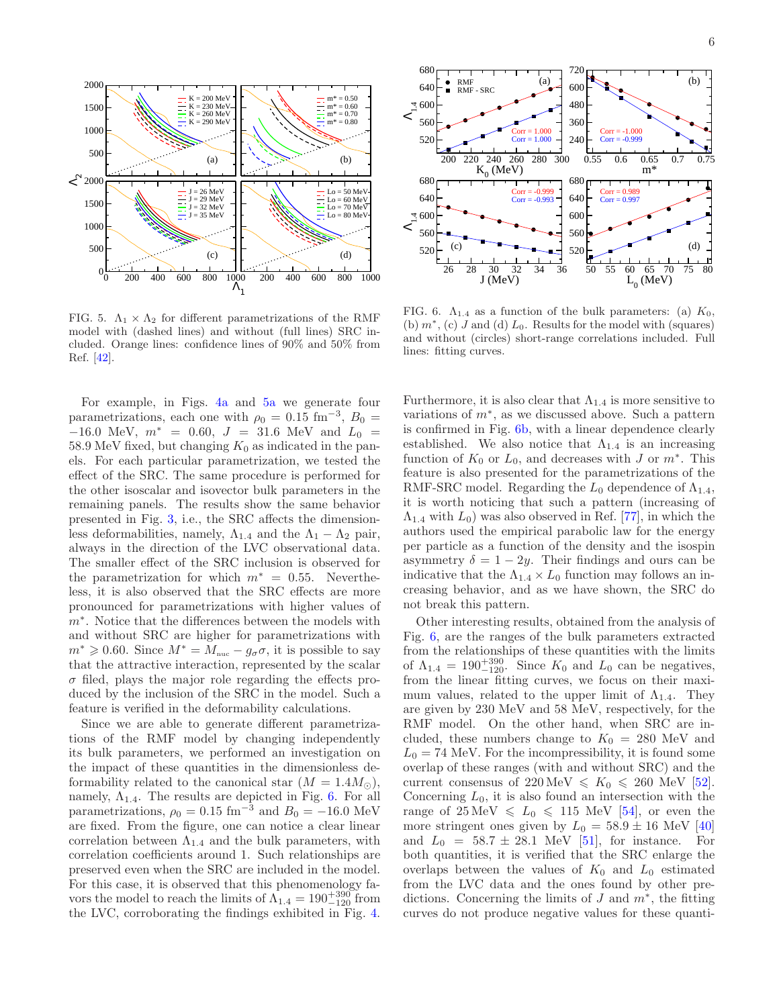

<span id="page-5-0"></span>FIG. 5.  $\Lambda_1 \times \Lambda_2$  for different parametrizations of the RMF model with (dashed lines) and without (full lines) SRC included. Orange lines: confidence lines of 90% and 50% from Ref. [\[42](#page-7-48)].

For example, in Figs. [4a](#page-4-1) and [5a](#page-5-0) we generate four parametrizations, each one with  $\rho_0 = 0.15$  fm<sup>-3</sup>,  $B_0 =$  $-16.0$  MeV,  $m^* = 0.60$ ,  $J = 31.6$  MeV and  $L_0 =$ 58.9 MeV fixed, but changing  $K_0$  as indicated in the panels. For each particular parametrization, we tested the effect of the SRC. The same procedure is performed for the other isoscalar and isovector bulk parameters in the remaining panels. The results show the same behavior presented in Fig. [3,](#page-4-0) i.e., the SRC affects the dimensionless deformabilities, namely,  $\Lambda_{1,4}$  and the  $\Lambda_1 - \Lambda_2$  pair, always in the direction of the LVC observational data. The smaller effect of the SRC inclusion is observed for the parametrization for which  $m^* = 0.55$ . Nevertheless, it is also observed that the SRC effects are more pronounced for parametrizations with higher values of m<sup>∗</sup>. Notice that the differences between the models with and without SRC are higher for parametrizations with  $m^* \geqslant 0.60$ . Since  $M^* = M_{\text{nuc}} - g_{\sigma}\sigma$ , it is possible to say that the attractive interaction, represented by the scalar  $\sigma$  filed, plays the major role regarding the effects produced by the inclusion of the SRC in the model. Such a feature is verified in the deformability calculations.

Since we are able to generate different parametrizations of the RMF model by changing independently its bulk parameters, we performed an investigation on the impact of these quantities in the dimensionless deformability related to the canonical star  $(M = 1.4M_{\odot})$ , namely,  $\Lambda_{1.4}$ . The results are depicted in Fig. [6.](#page-5-1) For all parametrizations,  $\rho_0 = 0.15$  fm<sup>-3</sup> and  $B_0 = -16.0$  MeV are fixed. From the figure, one can notice a clear linear correlation between  $\Lambda_{1,4}$  and the bulk parameters, with correlation coefficients around 1. Such relationships are preserved even when the SRC are included in the model. For this case, it is observed that this phenomenology favors the model to reach the limits of  $\Lambda_{1.4} = 190^{+390}_{-120}$  from the LVC, corroborating the findings exhibited in Fig. [4.](#page-4-1)



<span id="page-5-1"></span>FIG. 6.  $\Lambda_{1,4}$  as a function of the bulk parameters: (a)  $K_0$ , (b)  $m^*$ , (c) J and (d)  $L_0$ . Results for the model with (squares) and without (circles) short-range correlations included. Full lines: fitting curves.

Furthermore, it is also clear that  $\Lambda_{1,4}$  is more sensitive to variations of m<sup>∗</sup> , as we discussed above. Such a pattern is confirmed in Fig. [6b](#page-5-1), with a linear dependence clearly established. We also notice that  $\Lambda_{1,4}$  is an increasing function of  $K_0$  or  $L_0$ , and decreases with J or  $m^*$ . This feature is also presented for the parametrizations of the RMF-SRC model. Regarding the  $L_0$  dependence of  $\Lambda_{1.4}$ , it is worth noticing that such a pattern (increasing of  $\Lambda_{1.4}$  with  $L_0$ ) was also observed in Ref. [\[77\]](#page-8-2), in which the authors used the empirical parabolic law for the energy per particle as a function of the density and the isospin asymmetry  $\delta = 1 - 2y$ . Their findings and ours can be indicative that the  $\Lambda_{1,4} \times L_0$  function may follows an increasing behavior, and as we have shown, the SRC do not break this pattern.

Other interesting results, obtained from the analysis of Fig. [6,](#page-5-1) are the ranges of the bulk parameters extracted from the relationships of these quantities with the limits of  $\Lambda_{1,4} = 190^{+390}_{-120}$ . Since  $K_0$  and  $L_0$  can be negatives, from the linear fitting curves, we focus on their maximum values, related to the upper limit of  $\Lambda_{1,4}$ . They are given by 230 MeV and 58 MeV, respectively, for the RMF model. On the other hand, when SRC are included, these numbers change to  $K_0 = 280$  MeV and  $L_0 = 74$  MeV. For the incompressibility, it is found some overlap of these ranges (with and without SRC) and the current consensus of  $220 \,\text{MeV} \leq K_0 \leq 260 \,\text{MeV}$  [\[52\]](#page-7-30). Concerning  $L_0$ , it is also found an intersection with the range of  $25 \text{ MeV} \le L_0 \le 115 \text{ MeV}$  [\[54](#page-7-32)], or even the more stringent ones given by  $L_0 = 58.9 \pm 16$  MeV [\[40](#page-7-23)] and  $L_0 = 58.7 \pm 28.1$  MeV [\[51\]](#page-7-29), for instance. For both quantities, it is verified that the SRC enlarge the overlaps between the values of  $K_0$  and  $L_0$  estimated from the LVC data and the ones found by other predictions. Concerning the limits of  $J$  and  $m^*$ , the fitting curves do not produce negative values for these quanti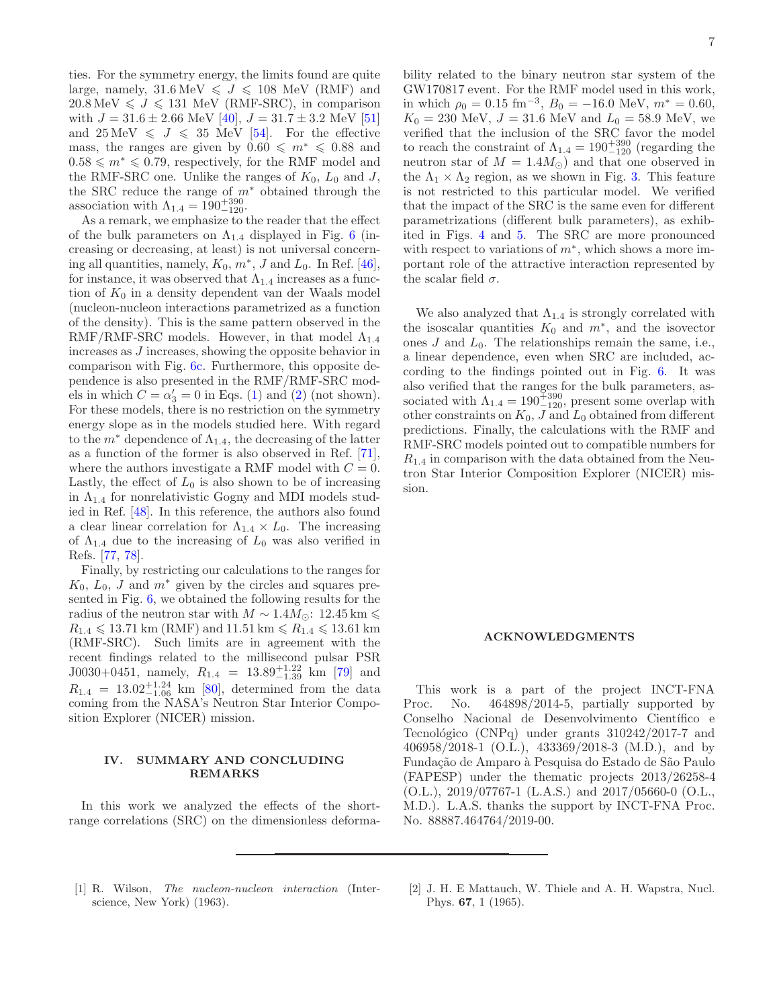ties. For the symmetry energy, the limits found are quite large, namely,  $31.6 \,\text{MeV} \leqslant J \leqslant 108 \,\text{MeV}$  (RMF) and  $20.8 \,\text{MeV} \leq J \leq 131 \,\text{MeV}$  (RMF-SRC), in comparison with  $J = 31.6 \pm 2.66$  MeV  $[40]$ ,  $J = 31.7 \pm 3.2$  MeV  $[51]$ and  $25 \text{ MeV} \leq J \leq 35 \text{ MeV}$  [\[54\]](#page-7-32). For the effective mass, the ranges are given by  $0.60 \le m^* \le 0.88$  and  $0.58 \leq m^* \leq 0.79$ , respectively, for the RMF model and the RMF-SRC one. Unlike the ranges of  $K_0$ ,  $L_0$  and J, the SRC reduce the range of  $m^*$  obtained through the association with  $\Lambda_{1.4} = 190^{+390}_{-120}$ .

As a remark, we emphasize to the reader that the effect of the bulk parameters on  $\Lambda_{1.4}$  displayed in Fig. [6](#page-5-1) (increasing or decreasing, at least) is not universal concerning all quantities, namely,  $K_0$ ,  $m^*$ , J and  $L_0$ . In Ref. [\[46\]](#page-7-49), for instance, it was observed that  $\Lambda_{1.4}$  increases as a function of  $K_0$  in a density dependent van der Waals model (nucleon-nucleon interactions parametrized as a function of the density). This is the same pattern observed in the RMF/RMF-SRC models. However, in that model  $\Lambda_{1,4}$ increases as J increases, showing the opposite behavior in comparison with Fig. [6c](#page-5-1). Furthermore, this opposite dependence is also presented in the RMF/RMF-SRC models in which  $C = \alpha'_3 = 0$  in Eqs. [\(1\)](#page-1-4) and [\(2\)](#page-1-5) (not shown). For these models, there is no restriction on the symmetry energy slope as in the models studied here. With regard to the  $m^*$  dependence of  $\Lambda_{1,4}$ , the decreasing of the latter as a function of the former is also observed in Ref. [\[71\]](#page-7-46), where the authors investigate a RMF model with  $C = 0$ . Lastly, the effect of  $L_0$  is also shown to be of increasing in  $\Lambda_{1,4}$  for nonrelativistic Gogny and MDI models studied in Ref. [\[48](#page-7-25)]. In this reference, the authors also found a clear linear correlation for  $\Lambda_{1,4} \times L_0$ . The increasing of  $\Lambda_{1,4}$  due to the increasing of  $L_0$  was also verified in Refs. [\[77,](#page-8-2) [78\]](#page-8-3).

Finally, by restricting our calculations to the ranges for  $K_0$ ,  $L_0$ , J and  $m^*$  given by the circles and squares presented in Fig. [6,](#page-5-1) we obtained the following results for the radius of the neutron star with  $M \sim 1.4 M_{\odot}$ : 12.45 km ≤  $R_{1.4} \leq 13.71$  km (RMF) and  $11.51$  km  $\leq R_{1.4} \leq 13.61$  km (RMF-SRC). Such limits are in agreement with the recent findings related to the millisecond pulsar PSR J0030+0451, namely,  $R_{1.4} = 13.89_{-1.39}^{+1.22}$  km [\[79\]](#page-8-4) and  $R_{1.4}$  = 13.02<sup>+1.24</sup> km [\[80](#page-8-5)], determined from the data coming from the NASA's Neutron Star Interior Composition Explorer (NICER) mission.

## <span id="page-6-2"></span>IV. SUMMARY AND CONCLUDING REMARKS

In this work we analyzed the effects of the shortrange correlations (SRC) on the dimensionless deformability related to the binary neutron star system of the GW170817 event. For the RMF model used in this work, in which  $\rho_0 = 0.15 \text{ fm}^{-3}$ ,  $B_0 = -16.0 \text{ MeV}$ ,  $m^* = 0.60$ ,  $K_0 = 230$  MeV,  $J = 31.6$  MeV and  $L_0 = 58.9$  MeV, we verified that the inclusion of the SRC favor the model to reach the constraint of  $\Lambda_{1.4} = 190^{+390}_{-120}$  (regarding the neutron star of  $M = 1.4 M_{\odot}$  and that one observed in the  $\Lambda_1 \times \Lambda_2$  region, as we shown in Fig. [3.](#page-4-0) This feature is not restricted to this particular model. We verified that the impact of the SRC is the same even for different parametrizations (different bulk parameters), as exhibited in Figs. [4](#page-4-1) and [5.](#page-5-0) The SRC are more pronounced with respect to variations of  $m^*$ , which shows a more important role of the attractive interaction represented by the scalar field  $\sigma$ .

We also analyzed that  $\Lambda_{1.4}$  is strongly correlated with the isoscalar quantities  $K_0$  and  $m^*$ , and the isovector ones  $J$  and  $L_0$ . The relationships remain the same, i.e., a linear dependence, even when SRC are included, according to the findings pointed out in Fig. [6.](#page-5-1) It was also verified that the ranges for the bulk parameters, associated with  $\Lambda_{1.4} = 190^{+390}_{-120}$ , present some overlap with other constraints on  $K_0$ , J and  $L_0$  obtained from different predictions. Finally, the calculations with the RMF and RMF-SRC models pointed out to compatible numbers for  $R_{1,4}$  in comparison with the data obtained from the Neutron Star Interior Composition Explorer (NICER) mission.

### ACKNOWLEDGMENTS

This work is a part of the project INCT-FNA Proc. No. 464898/2014-5, partially supported by Conselho Nacional de Desenvolvimento Científico e Tecnológico (CNPq) under grants  $310242/2017$ -7 and 406958/2018-1 (O.L.), 433369/2018-3 (M.D.), and by Fundação de Amparo à Pesquisa do Estado de São Paulo (FAPESP) under the thematic projects 2013/26258-4 (O.L.), 2019/07767-1 (L.A.S.) and 2017/05660-0 (O.L., M.D.). L.A.S. thanks the support by INCT-FNA Proc. No. 88887.464764/2019-00.

- <span id="page-6-0"></span>[1] R. Wilson, The nucleon-nucleon interaction (Interscience, New York) (1963).
- <span id="page-6-1"></span>[2] J. H. E Mattauch, W. Thiele and A. H. Wapstra, Nucl. Phys. 67, 1 (1965).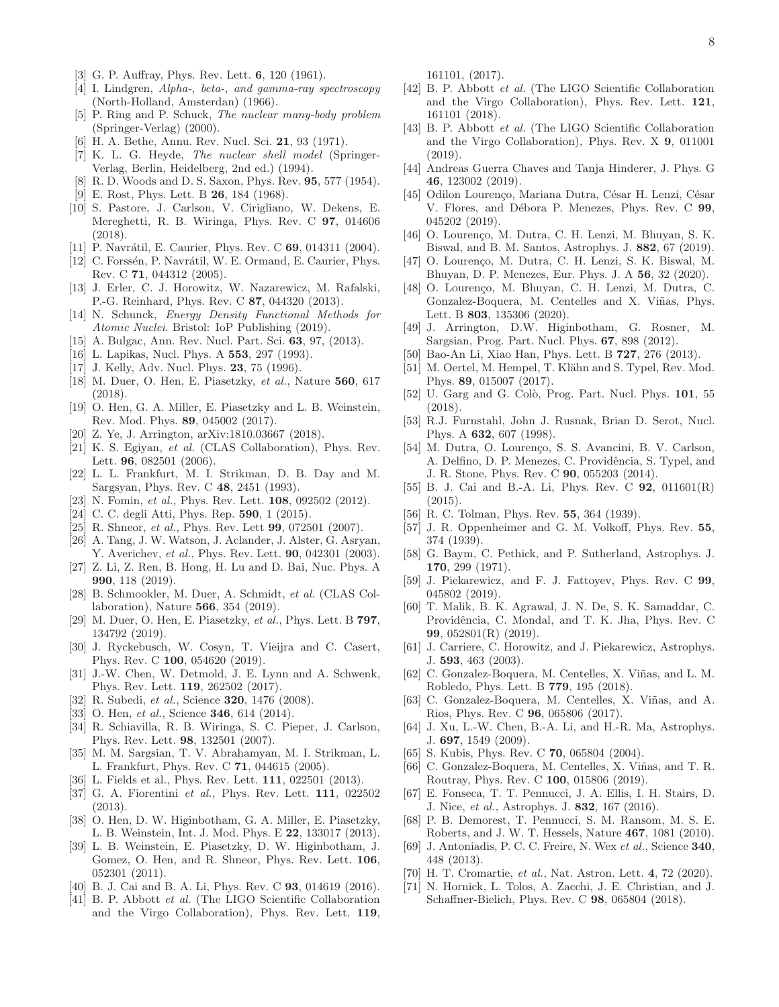- <span id="page-7-0"></span>[3] G. P. Auffray, Phys. Rev. Lett. 6, 120 (1961).
- <span id="page-7-1"></span>[4] I. Lindgren, Alpha-, beta-, and gamma-ray spectroscopy (North-Holland, Amsterdan) (1966).
- <span id="page-7-2"></span>[5] P. Ring and P. Schuck, The nuclear many-body problem (Springer-Verlag) (2000).
- <span id="page-7-3"></span>[6] H. A. Bethe, Annu. Rev. Nucl. Sci. 21, 93 (1971).
- <span id="page-7-4"></span>[7] K. L. G. Heyde, The nuclear shell model (Springer-Verlag, Berlin, Heidelberg, 2nd ed.) (1994).
- <span id="page-7-5"></span>[8] R. D. Woods and D. S. Saxon, Phys. Rev. 95, 577 (1954).
- <span id="page-7-6"></span>[9] E. Rost, Phys. Lett. B **26**, 184 (1968).
- <span id="page-7-7"></span>[10] S. Pastore, J. Carlson, V. Cirigliano, W. Dekens, E. Mereghetti, R. B. Wiringa, Phys. Rev. C 97, 014606 (2018).
- [11] P. Navrátil, E. Caurier, Phys. Rev. C 69, 014311 (2004).
- <span id="page-7-8"></span>[12] C. Forssén, P. Navrátil, W. E. Ormand, E. Caurier, Phys. Rev. C 71, 044312 (2005).
- <span id="page-7-9"></span>[13] J. Erler, C. J. Horowitz, W. Nazarewicz, M. Rafalski, P.-G. Reinhard, Phys. Rev. C 87, 044320 (2013).
- [14] N. Schunck, Energy Density Functional Methods for Atomic Nuclei. Bristol: IoP Publishing (2019).
- <span id="page-7-10"></span>[15] A. Bulgac, Ann. Rev. Nucl. Part. Sci. 63, 97, (2013).
- <span id="page-7-11"></span>[16] L. Lapikas, Nucl. Phys. A 553, 297 (1993).
- <span id="page-7-12"></span>[17] J. Kelly, Adv. Nucl. Phys. **23**, 75 (1996).
- <span id="page-7-13"></span>[18] M. Duer, O. Hen, E. Piasetzky, et al., Nature 560, 617 (2018).
- [19] O. Hen, G. A. Miller, E. Piasetzky and L. B. Weinstein, Rev. Mod. Phys. 89, 045002 (2017).
- [20] Z. Ye, J. Arrington, arXiv:1810.03667 (2018).
- [21] K. S. Egiyan, et al. (CLAS Collaboration), Phys. Rev. Lett. 96, 082501 (2006).
- [22] L. L. Frankfurt, M. I. Strikman, D. B. Day and M. Sargsyan, Phys. Rev. C 48, 2451 (1993).
- [23] N. Fomin, et al., Phys. Rev. Lett. **108**, 092502 (2012).
- [24] C. C. degli Atti, Phys. Rep. **590**, 1 (2015).
- [25] R. Shneor, *et al.*, Phys. Rev. Lett **99**, 072501 (2007).
- [26] A. Tang, J. W. Watson, J. Aclander, J. Alster, G. Asryan, Y. Averichev, et al., Phys. Rev. Lett. 90, 042301 (2003).
- [27] Z. Li, Z. Ren, B. Hong, H. Lu and D. Bai, Nuc. Phys. A 990, 118 (2019).
- [28] B. Schmookler, M. Duer, A. Schmidt, et al. (CLAS Collaboration), Nature 566, 354 (2019).
- [29] M. Duer, O. Hen, E. Piasetzky, et al., Phys. Lett. B 797, 134792 (2019).
- [30] J. Ryckebusch, W. Cosyn, T. Vieijra and C. Casert, Phys. Rev. C 100, 054620 (2019).
- <span id="page-7-14"></span>[31] J.-W. Chen, W. Detmold, J. E. Lynn and A. Schwenk, Phys. Rev. Lett. 119, 262502 (2017).
- <span id="page-7-15"></span>[32] R. Subedi, et al., Science **320**, 1476 (2008).
- <span id="page-7-16"></span>[33] O. Hen, et al., Science **346**, 614 (2014).
- <span id="page-7-17"></span>[34] R. Schiavilla, R. B. Wiringa, S. C. Pieper, J. Carlson, Phys. Rev. Lett. 98, 132501 (2007).
- <span id="page-7-18"></span>[35] M. M. Sargsian, T. V. Abrahamyan, M. I. Strikman, L. L. Frankfurt, Phys. Rev. C 71, 044615 (2005).
- <span id="page-7-19"></span>[36] L. Fields et al., Phys. Rev. Lett. 111, 022501 (2013).
- <span id="page-7-20"></span>[37] G. A. Fiorentini et al., Phys. Rev. Lett. **111**, 022502 (2013).
- <span id="page-7-21"></span>[38] O. Hen, D. W. Higinbotham, G. A. Miller, E. Piasetzky, L. B. Weinstein, Int. J. Mod. Phys. E 22, 133017 (2013).
- <span id="page-7-22"></span>[39] L. B. Weinstein, E. Piasetzky, D. W. Higinbotham, J. Gomez, O. Hen, and R. Shneor, Phys. Rev. Lett. 106, 052301 (2011).
- <span id="page-7-23"></span>[40] B. J. Cai and B. A. Li, Phys. Rev. C 93, 014619 (2016).
- <span id="page-7-24"></span>[41] B. P. Abbott et al. (The LIGO Scientific Collaboration and the Virgo Collaboration), Phys. Rev. Lett. 119,

161101, (2017).

- <span id="page-7-48"></span>[42] B. P. Abbott et al. (The LIGO Scientific Collaboration and the Virgo Collaboration), Phys. Rev. Lett. 121, 161101 (2018).
- <span id="page-7-47"></span>[43] B. P. Abbott et al. (The LIGO Scientific Collaboration and the Virgo Collaboration), Phys. Rev. X 9, 011001  $(2019).$
- [44] Andreas Guerra Chaves and Tanja Hinderer, J. Phys. G 46, 123002 (2019).
- [45] Odilon Lourenço, Mariana Dutra, César H. Lenzi, César V. Flores, and Débora P. Menezes, Phys. Rev. C 99, 045202 (2019).
- <span id="page-7-49"></span>[46] O. Lourenço, M. Dutra, C. H. Lenzi, M. Bhuyan, S. K. Biswal, and B. M. Santos, Astrophys. J. 882, 67 (2019).
- [47] O. Lourenço, M. Dutra, C. H. Lenzi, S. K. Biswal, M. Bhuyan, D. P. Menezes, Eur. Phys. J. A 56, 32 (2020).
- <span id="page-7-25"></span>[48] O. Lourenço, M. Bhuyan, C. H. Lenzi, M. Dutra, C. Gonzalez-Boquera, M. Centelles and X. Viñas, Phys. Lett. B 803, 135306 (2020).
- <span id="page-7-26"></span>[49] J. Arrington, D.W. Higinbotham, G. Rosner, M. Sargsian, Prog. Part. Nucl. Phys. 67, 898 (2012).
- <span id="page-7-28"></span>[50] Bao-An Li, Xiao Han, Phys. Lett. B **727**, 276 (2013).
- <span id="page-7-29"></span>[51] M. Oertel, M. Hempel, T. Klähn and S. Typel, Rev. Mod. Phys. 89, 015007 (2017).
- <span id="page-7-30"></span>[52] U. Garg and G. Colò, Prog. Part. Nucl. Phys. 101, 55 (2018).
- <span id="page-7-31"></span>[53] R.J. Furnstahl, John J. Rusnak, Brian D. Serot, Nucl. Phys. A 632, 607 (1998).
- <span id="page-7-32"></span>[54] M. Dutra, O. Lourenço, S. S. Avancini, B. V. Carlson, A. Delfino, D. P. Menezes, C. Providência, S. Typel, and J. R. Stone, Phys. Rev. C 90, 055203 (2014).
- <span id="page-7-27"></span>[55] B. J. Cai and B.-A. Li, Phys. Rev. C 92, 011601(R) (2015).
- <span id="page-7-33"></span>[56] R. C. Tolman, Phys. Rev. **55**, 364 (1939).
- <span id="page-7-34"></span>[57] J. R. Oppenheimer and G. M. Volkoff, Phys. Rev. 55, 374 (1939).
- <span id="page-7-36"></span>[58] G. Baym, C. Pethick, and P. Sutherland, Astrophys. J. 170, 299 (1971).
- <span id="page-7-35"></span>[59] J. Piekarewicz, and F. J. Fattoyev, Phys. Rev. C 99, 045802 (2019).
- <span id="page-7-37"></span>[60] T. Malik, B. K. Agrawal, J. N. De, S. K. Samaddar, C. Providência, C. Mondal, and T. K. Jha, Phys. Rev. C 99, 052801(R) (2019).
- <span id="page-7-38"></span>[61] J. Carriere, C. Horowitz, and J. Piekarewicz, Astrophys. J. 593, 463 (2003).
- <span id="page-7-39"></span>[62] C. Gonzalez-Boquera, M. Centelles, X. Viñas, and L. M. Robledo, Phys. Lett. B 779, 195 (2018).
- <span id="page-7-40"></span>[63] C. Gonzalez-Boquera, M. Centelles, X. Viñas, and A. Rios, Phys. Rev. C 96, 065806 (2017).
- [64] J. Xu, L.-W. Chen, B.-A. Li, and H.-R. Ma, Astrophys. J. 697, 1549 (2009).
- [65] S. Kubis, Phys. Rev. C **70**, 065804 (2004).
- <span id="page-7-41"></span>[66] C. Gonzalez-Boquera, M. Centelles, X. Viñas, and T. R. Routray, Phys. Rev. C 100, 015806 (2019).
- <span id="page-7-42"></span>[67] E. Fonseca, T. T. Pennucci, J. A. Ellis, I. H. Stairs, D. J. Nice, et al., Astrophys. J. 832, 167 (2016).
- <span id="page-7-43"></span>[68] P. B. Demorest, T. Pennucci, S. M. Ransom, M. S. E. Roberts, and J. W. T. Hessels, Nature 467, 1081 (2010).
- <span id="page-7-44"></span>[69] J. Antoniadis, P. C. C. Freire, N. Wex et al., Science 340, 448 (2013).
- <span id="page-7-45"></span>[70] H. T. Cromartie, et al., Nat. Astron. Lett. 4, 72 (2020).
- <span id="page-7-46"></span>[71] N. Hornick, L. Tolos, A. Zacchi, J. E. Christian, and J. Schaffner-Bielich, Phys. Rev. C 98, 065804 (2018).